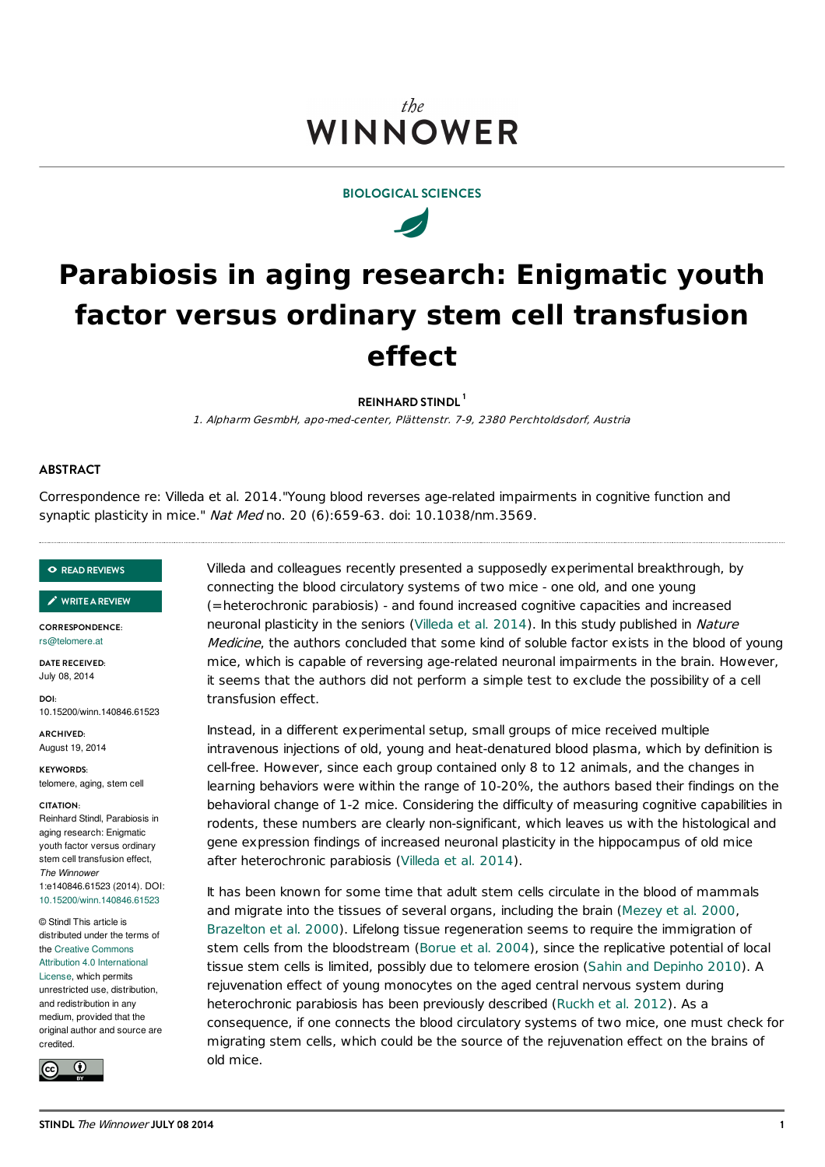# the **WINNOWER**



 $\overline{\mathscr{A}}$ 

# **Parabiosis in aging research: Enigmatic youth factor versus ordinary stem cell transfusion effect**

**REINHARD STINDL 1**

1. Alpharm GesmbH, apo-med-center, Plättenstr. 7-9, 2380 Perchtoldsdorf, Austria

## **ABSTRACT**

Correspondence re: Villeda et al. 2014."Young blood reverses age-related impairments in cognitive function and synaptic plasticity in mice." Nat Med no. 20 (6):659-63. doi: 10.1038/nm.3569.

#### **READ [REVIEWS](https://thewinnower.com/papers/parabiosis-in-aging-research-enigmatic-youth-factor-versus-ordinary-stem-cell-transfusion-effect?review_it=true)**

#### **[WRITEAREVIEW](https://thewinnower.com/papers/parabiosis-in-aging-research-enigmatic-youth-factor-versus-ordinary-stem-cell-transfusion-effect?review_it=true)** ✎

**CORRESPONDENCE:** [rs@telomere.at](mailto:rs@telomere.at)

**DATE RECEIVED:** July 08, 2014

**DOI:** 10.15200/winn.140846.61523

**ARCHIVED:** August 19, 2014

**KEYWORDS:** telomere, aging, stem cell

#### **CITATION:**

Reinhard Stindl, Parabiosis in aging research: Enigmatic youth factor versus ordinary stem cell transfusion effect, *The Winnower* 1:e140846.61523 (2014). DOI: [10.15200/winn.140846.61523](http://dx.doi.org/10.15200/winn.140846.61523)

© Stindl This article is distributed under the terms of the Creative Commons Attribution 4.0 [International](http://creativecommons.org/licenses/by/4.0/)

License, which permits unrestricted use, distribution, and redistribution in any medium, provided that the original author and source are credited.



Villeda and colleagues recently presented a supposedly experimental breakthrough, by connecting the blood circulatory systems of two mice - one old, and one young (=heterochronic parabiosis) - and found increased cognitive capacities and increased neuronal plasticity in the seniors [\(Villeda](#page-1-0) et al. 2014). In this study published in Nature Medicine, the authors concluded that some kind of soluble factor exists in the blood of young mice, which is capable of reversing age-related neuronal impairments in the brain. However, it seems that the authors did not perform a simple test to exclude the possibility of a cell transfusion effect.

Instead, in a different experimental setup, small groups of mice received multiple intravenous injections of old, young and heat-denatured blood plasma, which by definition is cell-free. However, since each group contained only 8 to 12 animals, and the changes in learning behaviors were within the range of 10-20%, the authors based their findings on the behavioral change of 1-2 mice. Considering the difficulty of measuring cognitive capabilities in rodents, these numbers are clearly non-significant, which leaves us with the histological and gene expression findings of increased neuronal plasticity in the hippocampus of old mice after heterochronic parabiosis [\(Villeda](#page-1-0) et al. 2014).

It has been known for some time that adult stem cells circulate in the blood of mammals and migrate into the tissues of several organs, including the brain [\(Mezey](#page-1-1) et al. 2000, [Brazelton](#page-1-2) et al. 2000). Lifelong tissue regeneration seems to require the immigration of stem cells from the bloodstream [\(Borue](#page-1-3) et al. 2004), since the replicative potential of local tissue stem cells is limited, possibly due to telomere erosion (Sahin and [Depinho](#page-1-4) 2010). A rejuvenation effect of young monocytes on the aged central nervous system during heterochronic parabiosis has been previously described [\(Ruckh](#page-1-5) et al. 2012). As a consequence, if one connects the blood circulatory systems of two mice, one must check for migrating stem cells, which could be the source of the rejuvenation effect on the brains of old mice.